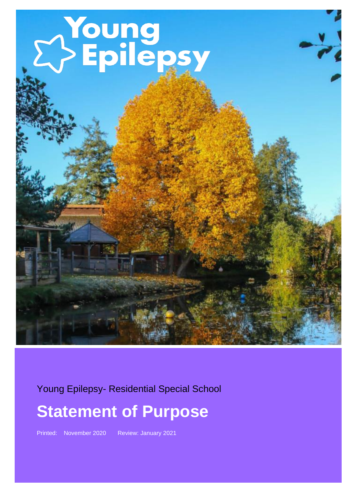# Young<br>2>Epilepsy

Young Epilepsy- Residential Special School

### **Statement of Purpose**

Printed: November 2020 Review: January 2021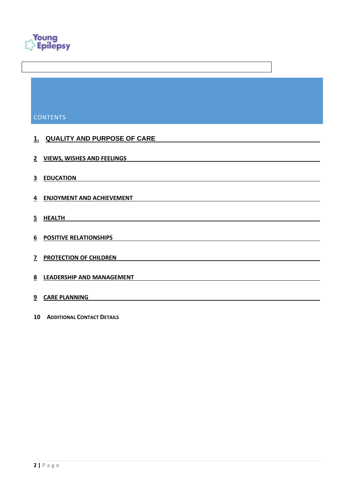

#### **CONTENTS**

## **1. [QUALITY AND PURPOSE OF CARE](#page-2-0) [VIEWS, WISHES AND FEELINGS](#page-9-0) [EDUCATION](#page-10-0) [ENJOYMENT AND ACHIEVEMENT](#page-11-0) [HEALTH](#page-13-0) [POSITIVE RELATIONSHIPS](#page-13-1) [PROTECTION OF CHILDREN](#page-14-0) [LEADERSHIP AND MANAGEMENT](#page-16-0) [CARE PLANNING](#page-18-0)**

**A[DDITIONAL](#page-19-0) CONTACT DETAILS**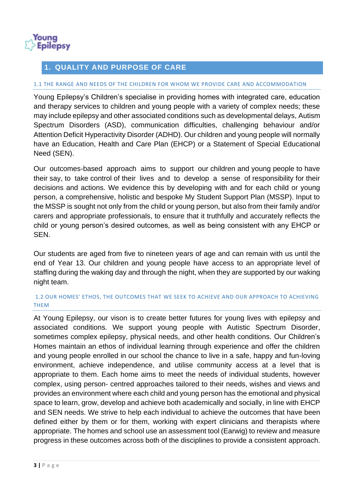

#### <span id="page-2-0"></span>**1. QUALITY AND PURPOSE OF CARE**

#### 1.1 THE RANGE AND NEEDS OF THE CHILDREN FOR WHOM WE PROVIDE CARE AND ACCOMMODATION

Young Epilepsy's Children's specialise in providing homes with integrated care, education and therapy services to children and young people with a variety of complex needs; these may include epilepsy and other associated conditions such as developmental delays, Autism Spectrum Disorders (ASD), communication difficulties, challenging behaviour and/or Attention Deficit Hyperactivity Disorder (ADHD). Our children and young people will normally have an Education, Health and Care Plan (EHCP) or a Statement of Special Educational Need (SEN).

Our outcomes-based approach aims to support our children and young people to have their say, to take control of their lives and to develop a sense of responsibility for their decisions and actions. We evidence this by developing with and for each child or young person, a comprehensive, holistic and bespoke My Student Support Plan (MSSP). Input to the MSSP is sought not only from the child or young person, but also from their family and/or carers and appropriate professionals, to ensure that it truthfully and accurately reflects the child or young person's desired outcomes, as well as being consistent with any EHCP or SEN.

Our students are aged from five to nineteen years of age and can remain with us until the end of Year 13. Our children and young people have access to an appropriate level of staffing during the waking day and through the night, when they are supported by our waking night team.

#### 1.2 OUR HOMES' ETHOS, THE OUTCOMES THAT WE SEEK TO ACHIEVE AND OUR APPROACH TO ACHIEVING THEM

At Young Epilepsy, our vison is to create better futures for young lives with epilepsy and associated conditions. We support young people with Autistic Spectrum Disorder, sometimes complex epilepsy, physical needs, and other health conditions. Our Children's Homes maintain an ethos of individual learning through experience and offer the children and young people enrolled in our school the chance to live in a safe, happy and fun-loving environment, achieve independence, and utilise community access at a level that is appropriate to them. Each home aims to meet the needs of individual students, however complex, using person- centred approaches tailored to their needs, wishes and views and provides an environment where each child and young person has the emotional and physical space to learn, grow, develop and achieve both academically and socially, in line with EHCP and SEN needs. We strive to help each individual to achieve the outcomes that have been defined either by them or for them, working with expert clinicians and therapists where appropriate. The homes and school use an assessment tool (Earwig) to review and measure progress in these outcomes across both of the disciplines to provide a consistent approach.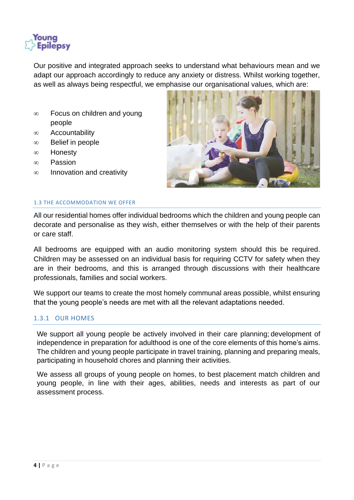

Our positive and integrated approach seeks to understand what behaviours mean and we adapt our approach accordingly to reduce any anxiety or distress. Whilst working together, as well as always being respectful, we emphasise our organisational values, which are:

- $\infty$  Focus on children and young people
- $\infty$  Accountability
- $\infty$  Belief in people
- ∞ Honesty
- $\infty$  Passion
- $\infty$  Innovation and creativity



#### 1.3 THE ACCOMMODATION WE OFFER

All our residential homes offer individual bedrooms which the children and young people can decorate and personalise as they wish, either themselves or with the help of their parents or care staff.

All bedrooms are equipped with an audio monitoring system should this be required. Children may be assessed on an individual basis for requiring CCTV for safety when they are in their bedrooms, and this is arranged through discussions with their healthcare professionals, families and social workers.

We support our teams to create the most homely communal areas possible, whilst ensuring that the young people's needs are met with all the relevant adaptations needed.

#### 1.3.1 OUR HOMES

We support all young people be actively involved in their care planning; development of independence in preparation for adulthood is one of the core elements of this home's aims. The children and young people participate in travel training, planning and preparing meals, participating in household chores and planning their activities.

We assess all groups of young people on homes, to best placement match children and young people, in line with their ages, abilities, needs and interests as part of our assessment process.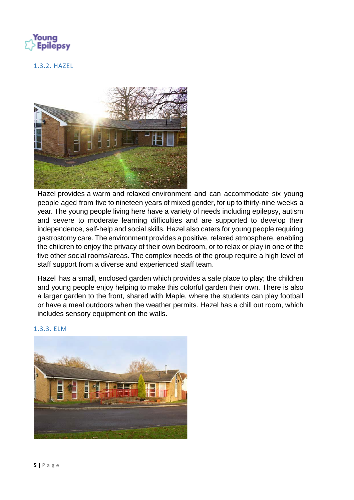

#### 1.3.2. HAZEL



Hazel provides a warm and relaxed environment and can accommodate six young people aged from five to nineteen years of mixed gender, for up to thirty-nine weeks a year. The young people living here have a variety of needs including epilepsy, autism and severe to moderate learning difficulties and are supported to develop their independence, self-help and social skills. Hazel also caters for young people requiring gastrostomy care. The environment provides a positive, relaxed atmosphere, enabling the children to enjoy the privacy of their own bedroom, or to relax or play in one of the five other social rooms/areas. The complex needs of the group require a high level of staff support from a diverse and experienced staff team.

Hazel has a small, enclosed garden which provides a safe place to play; the children and young people enjoy helping to make this colorful garden their own. There is also a larger garden to the front, shared with Maple, where the students can play football or have a meal outdoors when the weather permits. Hazel has a chill out room, which includes sensory equipment on the walls.



#### 1.3.3. ELM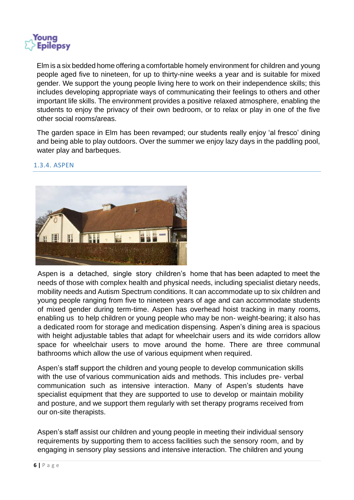

Elm is a six bedded home offering a comfortable homely environment for children and young people aged five to nineteen, for up to thirty-nine weeks a year and is suitable for mixed gender. We support the young people living here to work on their independence skills; this includes developing appropriate ways of communicating their feelings to others and other important life skills. The environment provides a positive relaxed atmosphere, enabling the students to enjoy the privacy of their own bedroom, or to relax or play in one of the five other social rooms/areas.

The garden space in Elm has been revamped; our students really enjoy 'al fresco' dining and being able to play outdoors. Over the summer we enjoy lazy days in the paddling pool, water play and barbeques.



#### 1.3.4. ASPEN

Aspen is a detached, single story children's home that has been adapted to meet the needs of those with complex health and physical needs, including specialist dietary needs, mobility needs and Autism Spectrum conditions. It can accommodate up to six children and young people ranging from five to nineteen years of age and can accommodate students of mixed gender during term-time. Aspen has overhead hoist tracking in many rooms, enabling us to help children or young people who may be non- weight-bearing; it also has a dedicated room for storage and medication dispensing. Aspen's dining area is spacious with height adjustable tables that adapt for wheelchair users and its wide corridors allow space for wheelchair users to move around the home. There are three communal bathrooms which allow the use of various equipment when required.

Aspen's staff support the children and young people to develop communication skills with the use of various communication aids and methods. This includes pre- verbal communication such as intensive interaction. Many of Aspen's students have specialist equipment that they are supported to use to develop or maintain mobility and posture, and we support them regularly with set therapy programs received from our on-site therapists.

Aspen's staff assist our children and young people in meeting their individual sensory requirements by supporting them to access facilities such the sensory room, and by engaging in sensory play sessions and intensive interaction. The children and young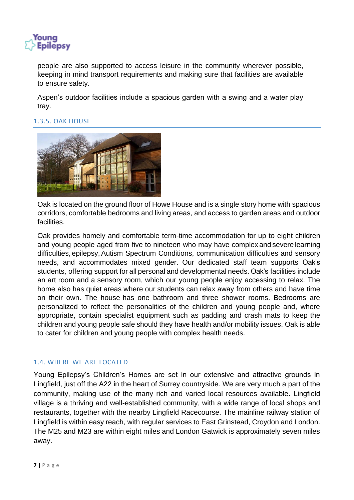

people are also supported to access leisure in the community wherever possible, keeping in mind transport requirements and making sure that facilities are available to ensure safety.

Aspen's outdoor facilities include a spacious garden with a swing and a water play tray.

#### 1.3.5. OAK HOUSE



Oak is located on the ground floor of Howe House and is a single story home with spacious corridors, comfortable bedrooms and living areas, and access to garden areas and outdoor facilities.

Oak provides homely and comfortable term-time accommodation for up to eight children and young people aged from five to nineteen who may have complex and severe learning difficulties, epilepsy,Autism Spectrum Conditions, communication difficulties and sensory needs, and accommodates mixed gender. Our dedicated staff team supports Oak's students, offering support for all personal and developmental needs. Oak's facilities include an art room and a sensory room, which our young people enjoy accessing to relax. The home also has quiet areas where our students can relax away from others and have time on their own. The house has one bathroom and three shower rooms. Bedrooms are personalized to reflect the personalities of the children and young people and, where appropriate, contain specialist equipment such as padding and crash mats to keep the children and young people safe should they have health and/or mobility issues. Oak is able to cater for children and young people with complex health needs.

#### 1.4. WHERE WE ARE LOCATED

Young Epilepsy's Children's Homes are set in our extensive and attractive grounds in Lingfield, just off the A22 in the heart of Surrey countryside. We are very much a part of the community, making use of the many rich and varied local resources available. Lingfield village is a thriving and well-established community, with a wide range of local shops and restaurants, together with the nearby Lingfield Racecourse. The mainline railway station of Lingfield is within easy reach, with regular services to East Grinstead, Croydon and London. The M25 and M23 are within eight miles and London Gatwick is approximately seven miles away.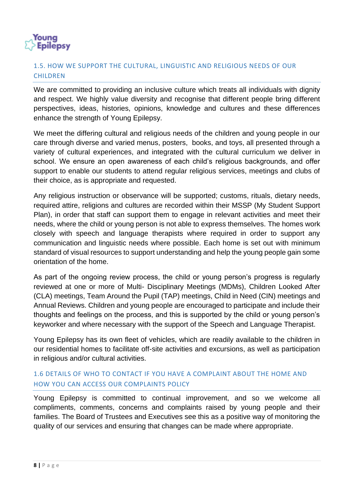

#### 1.5. HOW WE SUPPORT THE CULTURAL, LINGUISTIC AND RELIGIOUS NEEDS OF OUR **CHILDREN**

We are committed to providing an inclusive culture which treats all individuals with dignity and respect. We highly value diversity and recognise that different people bring different perspectives, ideas, histories, opinions, knowledge and cultures and these differences enhance the strength of Young Epilepsy.

We meet the differing cultural and religious needs of the children and young people in our care through diverse and varied menus, posters, books, and toys, all presented through a variety of cultural experiences, and integrated with the cultural curriculum we deliver in school. We ensure an open awareness of each child's religious backgrounds, and offer support to enable our students to attend regular religious services, meetings and clubs of their choice, as is appropriate and requested.

Any religious instruction or observance will be supported; customs, rituals, dietary needs, required attire, religions and cultures are recorded within their MSSP (My Student Support Plan), in order that staff can support them to engage in relevant activities and meet their needs, where the child or young person is not able to express themselves. The homes work closely with speech and language therapists where required in order to support any communication and linguistic needs where possible. Each home is set out with minimum standard of visual resources to support understanding and help the young people gain some orientation of the home.

As part of the ongoing review process, the child or young person's progress is regularly reviewed at one or more of Multi- Disciplinary Meetings (MDMs), Children Looked After (CLA) meetings, Team Around the Pupil (TAP) meetings, Child in Need (CIN) meetings and Annual Reviews. Children and young people are encouraged to participate and include their thoughts and feelings on the process, and this is supported by the child or young person's keyworker and where necessary with the support of the Speech and Language Therapist.

Young Epilepsy has its own fleet of vehicles, which are readily available to the children in our residential homes to facilitate off-site activities and excursions, as well as participation in religious and/or cultural activities.

#### 1.6 DETAILS OF WHO TO CONTACT IF YOU HAVE A COMPLAINT ABOUT THE HOME AND HOW YOU CAN ACCESS OUR COMPLAINTS POLICY

Young Epilepsy is committed to continual improvement, and so we welcome all compliments, comments, concerns and complaints raised by young people and their families. The Board of Trustees and Executives see this as a positive way of monitoring the quality of our services and ensuring that changes can be made where appropriate.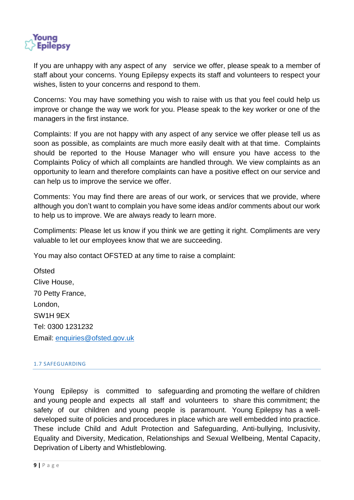

If you are unhappy with any aspect of any service we offer, please speak to a member of staff about your concerns. Young Epilepsy expects its staff and volunteers to respect your wishes, listen to your concerns and respond to them.

Concerns: You may have something you wish to raise with us that you feel could help us improve or change the way we work for you. Please speak to the key worker or one of the managers in the first instance.

Complaints: If you are not happy with any aspect of any service we offer please tell us as soon as possible, as complaints are much more easily dealt with at that time. Complaints should be reported to the House Manager who will ensure you have access to the Complaints Policy of which all complaints are handled through. We view complaints as an opportunity to learn and therefore complaints can have a positive effect on our service and can help us to improve the service we offer.

Comments: You may find there are areas of our work, or services that we provide, where although you don't want to complain you have some ideas and/or comments about our work to help us to improve. We are always ready to learn more.

Compliments: Please let us know if you think we are getting it right. Compliments are very valuable to let our employees know that we are succeeding.

You may also contact OFSTED at any time to raise a complaint:

**Ofsted** Clive House, 70 Petty France, London, SW1H 9EX Tel: 0300 1231232 Email: [enquiries@ofsted.gov.uk](mailto:enquiries@ofsted.gov.uk)

#### 1.7 SAFEGUARDING

Young Epilepsy is committed to safeguarding and promoting the welfare of children and young people and expects all staff and volunteers to share this commitment; the safety of our children and young people is paramount. Young Epilepsy has a welldeveloped suite of policies and procedures in place which are well embedded into practice. These include Child and Adult Protection and Safeguarding, Anti-bullying, Inclusivity, Equality and Diversity, Medication, Relationships and Sexual Wellbeing, Mental Capacity, Deprivation of Liberty and Whistleblowing.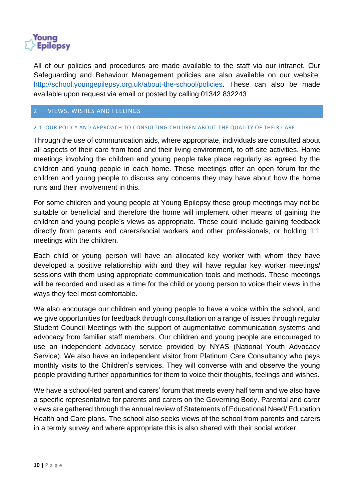

All of our policies and procedures are made available to the staff via our intranet. Our Safeguarding and Behaviour Management policies are also available on our website. [http://school.youngepilepsy.org.uk/about-the-school/policies.](http://school.youngepilepsy.org.uk/about-the-school/policies) These can also be made available upon request via email or posted by calling 01342 832243

#### <span id="page-9-0"></span>2 VIEWS, WISHES AND FEELINGS

#### 2.1. OUR POLICY AND APPROACH TO CONSULTING CHILDREN ABOUT THE QUALITY OF THEIR CARE

Through the use of communication aids, where appropriate, individuals are consulted about all aspects of their care from food and their living environment, to off-site activities. Home meetings involving the children and young people take place regularly as agreed by the children and young people in each home. These meetings offer an open forum for the children and young people to discuss any concerns they may have about how the home runs and their involvement in this.

For some children and young people at Young Epilepsy these group meetings may not be suitable or beneficial and therefore the home will implement other means of gaining the children and young people's views as appropriate. These could include gaining feedback directly from parents and carers/social workers and other professionals, or holding 1:1 meetings with the children.

Each child or young person will have an allocated key worker with whom they have developed a positive relationship with and they will have regular key worker meetings/ sessions with them using appropriate communication tools and methods. These meetings will be recorded and used as a time for the child or young person to voice their views in the ways they feel most comfortable.

We also encourage our children and young people to have a voice within the school, and we give opportunities for feedback through consultation on a range of issues through regular Student Council Meetings with the support of augmentative communication systems and advocacy from familiar staff members. Our children and young people are encouraged to use an independent advocacy service provided by NYAS (National Youth Advocacy Service). We also have an independent visitor from Platinum Care Consultancy who pays monthly visits to the Children's services. They will converse with and observe the young people providing further opportunities for them to voice their thoughts, feelings and wishes.

We have a school-led parent and carers' forum that meets every half term and we also have a specific representative for parents and carers on the Governing Body. Parental and carer views are gathered through the annual review of Statements of Educational Need/ Education Health and Care plans. The school also seeks views of the school from parents and carers in a termly survey and where appropriate this is also shared with their social worker.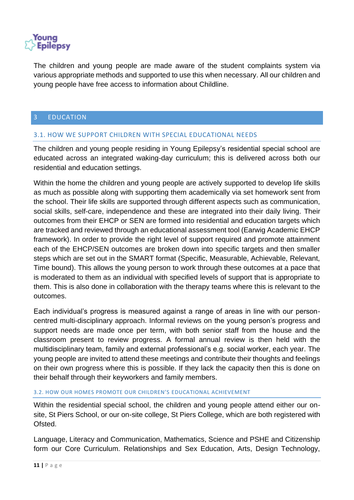

The children and young people are made aware of the student complaints system via various appropriate methods and supported to use this when necessary. All our children and young people have free access to information about Childline.

#### <span id="page-10-0"></span>3 EDUCATION

#### 3.1. HOW WE SUPPORT CHILDREN WITH SPECIAL EDUCATIONAL NEEDS

The children and young people residing in Young Epilepsy's residential special school are educated across an integrated waking-day curriculum; this is delivered across both our residential and education settings.

Within the home the children and young people are actively supported to develop life skills as much as possible along with supporting them academically via set homework sent from the school. Their life skills are supported through different aspects such as communication, social skills, self-care, independence and these are integrated into their daily living. Their outcomes from their EHCP or SEN are formed into residential and education targets which are tracked and reviewed through an educational assessment tool (Earwig Academic EHCP framework). In order to provide the right level of support required and promote attainment each of the EHCP/SEN outcomes are broken down into specific targets and then smaller steps which are set out in the SMART format (Specific, Measurable, Achievable, Relevant, Time bound). This allows the young person to work through these outcomes at a pace that is moderated to them as an individual with specified levels of support that is appropriate to them. This is also done in collaboration with the therapy teams where this is relevant to the outcomes.

Each individual's progress is measured against a range of areas in line with our personcentred multi-disciplinary approach. Informal reviews on the young person's progress and support needs are made once per term, with both senior staff from the house and the classroom present to review progress. A formal annual review is then held with the multidisciplinary team, family and external professional's e.g. social worker, each year. The young people are invited to attend these meetings and contribute their thoughts and feelings on their own progress where this is possible. If they lack the capacity then this is done on their behalf through their keyworkers and family members.

#### 3.2. HOW OUR HOMES PROMOTE OUR CHILDREN'S EDUCATIONAL ACHIEVEMENT

Within the residential special school, the children and young people attend either our onsite, St Piers School, or our on-site college, St Piers College, which are both registered with Ofsted.

Language, Literacy and Communication, Mathematics, Science and PSHE and Citizenship form our Core Curriculum. Relationships and Sex Education, Arts, Design Technology,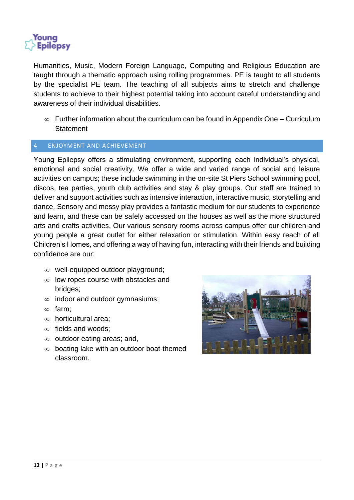

Humanities, Music, Modern Foreign Language, Computing and Religious Education are taught through a thematic approach using rolling programmes. PE is taught to all students by the specialist PE team. The teaching of all subjects aims to stretch and challenge students to achieve to their highest potential taking into account careful understanding and awareness of their individual disabilities.

 $\infty$  Further information about the curriculum can be found in Appendix One – Curriculum **Statement** 

#### <span id="page-11-0"></span>4 ENJOYMENT AND ACHIEVEMENT

Young Epilepsy offers a stimulating environment, supporting each individual's physical, emotional and social creativity. We offer a wide and varied range of social and leisure activities on campus; these include swimming in the on-site St Piers School swimming pool, discos, tea parties, youth club activities and stay & play groups. Our staff are trained to deliver and support activities such as intensive interaction, interactive music, storytelling and dance. Sensory and messy play provides a fantastic medium for our students to experience and learn, and these can be safely accessed on the houses as well as the more structured arts and crafts activities. Our various sensory rooms across campus offer our children and young people a great outlet for either relaxation or stimulation. Within easy reach of all Children's Homes, and offering a way of having fun, interacting with their friends and building confidence are our:

- $\infty$  well-equipped outdoor playground;
- $\infty$  low ropes course with obstacles and bridges;
- $\infty$  indoor and outdoor gymnasiums;
- $\infty$  farm:
- $\infty$  horticultural area;
- $\infty$  fields and woods:
- $\infty$  outdoor eating areas; and,
- $\infty$  boating lake with an outdoor boat-themed classroom.

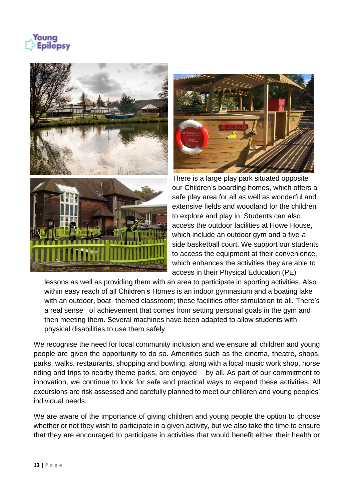Youna **Epilepsy** 





There is a large play park situated opposite our Children's boarding homes, which offers a safe play area for all as well as wonderful and extensive fields and woodland for the children to explore and play in. Students can also access the outdoor facilities at Howe House, which include an outdoor gym and a five-aside basketball court. We support our students to access the equipment at their convenience, which enhances the activities they are able to access in their Physical Education (PE)

lessons as well as providing them with an area to participate in sporting activities. Also within easy reach of all Children's Homes is an indoor gymnasium and a boating lake with an outdoor, boat- themed classroom; these facilities offer stimulation to all. There's a real sense of achievement that comes from setting personal goals in the gym and then meeting them. Several machines have been adapted to allow students with physical disabilities to use them safely.

We recognise the need for local community inclusion and we ensure all children and young people are given the opportunity to do so. Amenities such as the cinema, theatre, shops, parks, walks, restaurants, shopping and bowling, along with a local music work shop, horse riding and trips to nearby theme parks, are enjoyed by all. As part of our commitment to innovation, we continue to look for safe and practical ways to expand these activities. All excursions are risk assessed and carefully planned to meet our children and young peoples' individual needs.

We are aware of the importance of giving children and young people the option to choose whether or not they wish to participate in a given activity, but we also take the time to ensure that they are encouraged to participate in activities that would benefit either their health or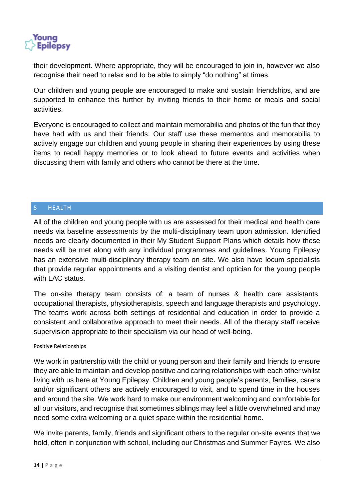

their development. Where appropriate, they will be encouraged to join in, however we also recognise their need to relax and to be able to simply "do nothing" at times.

Our children and young people are encouraged to make and sustain friendships, and are supported to enhance this further by inviting friends to their home or meals and social activities.

Everyone is encouraged to collect and maintain memorabilia and photos of the fun that they have had with us and their friends. Our staff use these mementos and memorabilia to actively engage our children and young people in sharing their experiences by using these items to recall happy memories or to look ahead to future events and activities when discussing them with family and others who cannot be there at the time.

#### <span id="page-13-0"></span>5 HEALTH

All of the children and young people with us are assessed for their medical and health care needs via baseline assessments by the multi-disciplinary team upon admission. Identified needs are clearly documented in their My Student Support Plans which details how these needs will be met along with any individual programmes and guidelines. Young Epilepsy has an extensive multi-disciplinary therapy team on site. We also have locum specialists that provide regular appointments and a visiting dentist and optician for the young people with LAC status.

The on-site therapy team consists of: a team of nurses & health care assistants, occupational therapists, physiotherapists, speech and language therapists and psychology. The teams work across both settings of residential and education in order to provide a consistent and collaborative approach to meet their needs. All of the therapy staff receive supervision appropriate to their specialism via our head of well-being.

#### <span id="page-13-1"></span>Positive Relationships

We work in partnership with the child or young person and their family and friends to ensure they are able to maintain and develop positive and caring relationships with each other whilst living with us here at Young Epilepsy. Children and young people's parents, families, carers and/or significant others are actively encouraged to visit, and to spend time in the houses and around the site. We work hard to make our environment welcoming and comfortable for all our visitors, and recognise that sometimes siblings may feel a little overwhelmed and may need some extra welcoming or a quiet space within the residential home.

We invite parents, family, friends and significant others to the regular on-site events that we hold, often in conjunction with school, including our Christmas and Summer Fayres. We also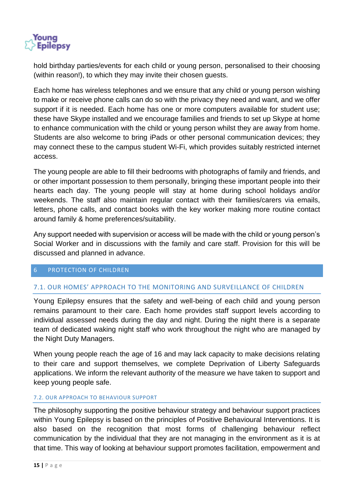

hold birthday parties/events for each child or young person, personalised to their choosing (within reason!), to which they may invite their chosen guests.

Each home has wireless telephones and we ensure that any child or young person wishing to make or receive phone calls can do so with the privacy they need and want, and we offer support if it is needed. Each home has one or more computers available for student use; these have Skype installed and we encourage families and friends to set up Skype at home to enhance communication with the child or young person whilst they are away from home. Students are also welcome to bring iPads or other personal communication devices; they may connect these to the campus student Wi-Fi, which provides suitably restricted internet access.

The young people are able to fill their bedrooms with photographs of family and friends, and or other important possession to them personally, bringing these important people into their hearts each day. The young people will stay at home during school holidays and/or weekends. The staff also maintain regular contact with their families/carers via emails, letters, phone calls, and contact books with the key worker making more routine contact around family & home preferences/suitability.

Any support needed with supervision or access will be made with the child or young person's Social Worker and in discussions with the family and care staff. Provision for this will be discussed and planned in advance.

#### <span id="page-14-0"></span>6 PROTECTION OF CHILDREN

#### 7.1. OUR HOMES' APPROACH TO THE MONITORING AND SURVEILLANCE OF CHILDREN

Young Epilepsy ensures that the safety and well-being of each child and young person remains paramount to their care. Each home provides staff support levels according to individual assessed needs during the day and night. During the night there is a separate team of dedicated waking night staff who work throughout the night who are managed by the Night Duty Managers.

When young people reach the age of 16 and may lack capacity to make decisions relating to their care and support themselves, we complete Deprivation of Liberty Safeguards applications. We inform the relevant authority of the measure we have taken to support and keep young people safe.

#### 7.2. OUR APPROACH TO BEHAVIOUR SUPPORT

The philosophy supporting the positive behaviour strategy and behaviour support practices within Young Epilepsy is based on the principles of Positive Behavioural Interventions. It is also based on the recognition that most forms of challenging behaviour reflect communication by the individual that they are not managing in the environment as it is at that time. This way of looking at behaviour support promotes facilitation, empowerment and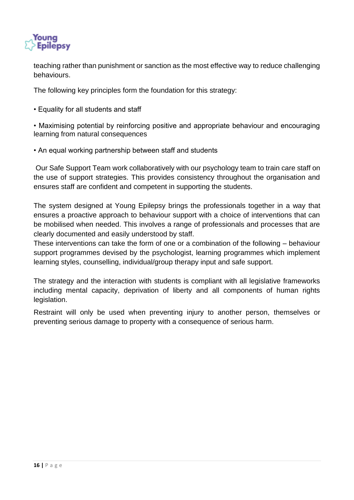

teaching rather than punishment or sanction as the most effective way to reduce challenging behaviours.

The following key principles form the foundation for this strategy:

• Equality for all students and staff

• Maximising potential by reinforcing positive and appropriate behaviour and encouraging learning from natural consequences

• An equal working partnership between staff and students

Our Safe Support Team work collaboratively with our psychology team to train care staff on the use of support strategies. This provides consistency throughout the organisation and ensures staff are confident and competent in supporting the students.

The system designed at Young Epilepsy brings the professionals together in a way that ensures a proactive approach to behaviour support with a choice of interventions that can be mobilised when needed. This involves a range of professionals and processes that are clearly documented and easily understood by staff.

These interventions can take the form of one or a combination of the following – behaviour support programmes devised by the psychologist, learning programmes which implement learning styles, counselling, individual/group therapy input and safe support.

The strategy and the interaction with students is compliant with all legislative frameworks including mental capacity, deprivation of liberty and all components of human rights legislation.

Restraint will only be used when preventing injury to another person, themselves or preventing serious damage to property with a consequence of serious harm.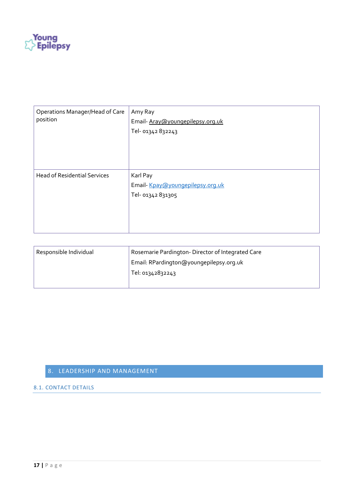

| Operations Manager/Head of Care<br>position | Amy Ray<br>Email-Aray@youngepilepsy.org.uk<br>Tel- 01342 832243  |
|---------------------------------------------|------------------------------------------------------------------|
| <b>Head of Residential Services</b>         | Karl Pay<br>Email-Kpay@youngepilepsy.org.uk<br>Tel- 01342 831305 |

| Responsible Individual | Rosemarie Pardington-Director of Integrated Care |
|------------------------|--------------------------------------------------|
|                        | Email: RPardington@youngepilepsy.org.uk          |
|                        | Tel: 01342832243                                 |
|                        |                                                  |

#### <span id="page-16-0"></span>8. LEADERSHIP AND MANAGEMENT

#### 8.1. CONTACT DETAILS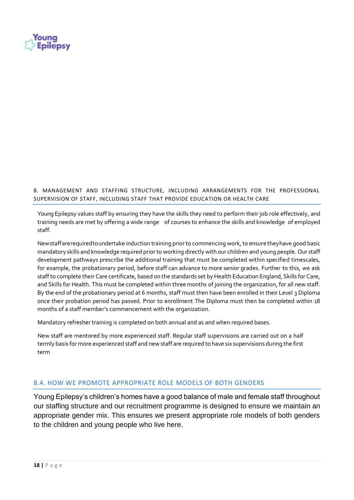

8. MANAGEMENT AND STAFFING STRUCTURE, INCLUDING ARRANGEMENTS FOR THE PROFESSIONAL SUPERVISION OF STAFF, INCLUDING STAFF THAT PROVIDE EDUCATION OR HEALTH CARE

Young Epilepsy values staff by ensuring they have the skills they need to perform their job role effectively, and training needs are met by offering a wide range of courses to enhance the skills and knowledge of employed staff.

Newstaffarerequiredtoundertake induction training prior to commencing work, to ensure theyhave good basic mandatory skills and knowledge required prior to working directly with our children and young people. Our staff development pathways prescribe the additional training that must be completed within specified timescales, for example, the probationary period, before staff can advance to more senior grades. Further to this, we ask staff to complete their Care certificate, based on the standards set by Health Education England, Skills for Care, and Skills for Health. This must be completed within three months of joining the organization, for all new staff. By the end of the probationary period at 6 months, staff must then have been enrolled in their Level 3 Diploma once their probation period has passed. Prior to enrollment The Diploma must then be completed within 18 months of a staff member's commencement with the organization.

Mandatory refresher training is completed on both annual and as and when required bases.

New staff are mentored by more experienced staff. Regular staff supervisions are carried out on a half termly basis for more experienced staff and new staff are required to have six supervisions during the first term

#### 8.4. HOW WE PROMOTE APPROPRIATE ROLE MODELS OF BOTH GENDERS

Young Epilepsy's children's homes have a good balance of male and female staff throughout our staffing structure and our recruitment programme is designed to ensure we maintain an appropriate gender mix. This ensures we present appropriate role models of both genders to the children and young people who live here.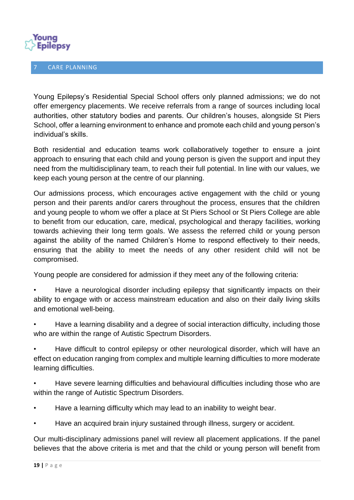

<span id="page-18-0"></span>CARE PLANNING

Young Epilepsy's Residential Special School offers only planned admissions; we do not offer emergency placements. We receive referrals from a range of sources including local authorities, other statutory bodies and parents. Our children's houses, alongside St Piers School, offer a learning environment to enhance and promote each child and young person's individual's skills.

Both residential and education teams work collaboratively together to ensure a joint approach to ensuring that each child and young person is given the support and input they need from the multidisciplinary team, to reach their full potential. In line with our values, we keep each young person at the centre of our planning.

Our admissions process, which encourages active engagement with the child or young person and their parents and/or carers throughout the process, ensures that the children and young people to whom we offer a place at St Piers School or St Piers College are able to benefit from our education, care, medical, psychological and therapy facilities, working towards achieving their long term goals. We assess the referred child or young person against the ability of the named Children's Home to respond effectively to their needs, ensuring that the ability to meet the needs of any other resident child will not be compromised.

Young people are considered for admission if they meet any of the following criteria:

• Have a neurological disorder including epilepsy that significantly impacts on their ability to engage with or access mainstream education and also on their daily living skills and emotional well-being.

• Have a learning disability and a degree of social interaction difficulty, including those who are within the range of Autistic Spectrum Disorders.

• Have difficult to control epilepsy or other neurological disorder, which will have an effect on education ranging from complex and multiple learning difficulties to more moderate learning difficulties.

• Have severe learning difficulties and behavioural difficulties including those who are within the range of Autistic Spectrum Disorders.

- Have a learning difficulty which may lead to an inability to weight bear.
- Have an acquired brain injury sustained through illness, surgery or accident.

Our multi-disciplinary admissions panel will review all placement applications. If the panel believes that the above criteria is met and that the child or young person will benefit from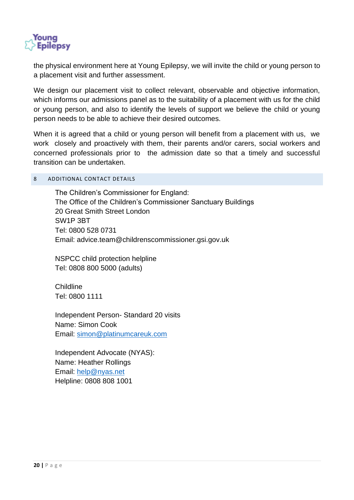

the physical environment here at Young Epilepsy, we will invite the child or young person to a placement visit and further assessment.

We design our placement visit to collect relevant, observable and objective information, which informs our admissions panel as to the suitability of a placement with us for the child or young person, and also to identify the levels of support we believe the child or young person needs to be able to achieve their desired outcomes.

When it is agreed that a child or young person will benefit from a placement with us, we work closely and proactively with them, their parents and/or carers, social workers and concerned professionals prior to the admission date so that a timely and successful transition can be undertaken.

#### <span id="page-19-0"></span>8 ADDITIONAL CONTACT DETAILS

The Children's Commissioner for England: The Office of the Children's Commissioner Sanctuary Buildings 20 Great Smith Street London SW1P 3BT Tel: 0800 528 0731 Email: advice.team@childrenscommissioner.gsi.gov.uk

NSPCC child protection helpline Tel: 0808 800 5000 (adults)

Childline Tel: 0800 1111

Independent Person- Standard 20 visits Name: Simon Cook Email: [simon@platinumcareuk.com](mailto:simon@platinumcareuk.com)

Independent Advocate (NYAS): Name: Heather Rollings Email: [help@nyas.net](mailto:help@nyas.net) Helpline: 0808 808 1001